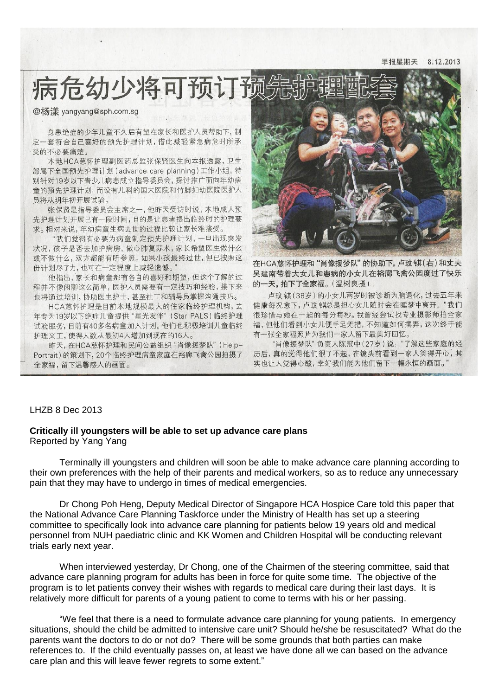8 12 2013 早报星期天

病危幼少将可预订预

@杨漾 yangyang@sph.com.sg

身患绝症的少年儿童不久后有望在家长和医护人员帮助下,制 定一套符合自己喜好的预先护理计划,借此减轻紧急病危时所承 受的不必要痛楚。

本地HCA慈怀护理副医药总监张保贤医生向本报透露,卫生。 部属下全国预先护理计划 (advance care planning) 工作小组, 特 别针对19岁以下青少儿病患成立指导委员会,探讨推广面向年幼病 童的预先护理计划, 而设有儿科的国大医院和竹脚妇幼医院医护人 员将从明年初开展试验。

张保贤是指导委员会主席之一,他昨天受访时说,本地成人预 先护理计划开展已有一段时间,目的是让患者提出临终时的护理要 求。相对来说,年幼病童生病去世的过程比较让家长难接受。

"我们觉得有必要为病童制定预先护理计划,一旦出现突发 状况,孩子是否去加护病房、做心肺复苏术,家长希望医生做什么 或不做什么, 双方都能有所参照。如果小孩最终过世, 但已按照这 份计划尽了力,也可在一定程度上减轻遗憾。"

他指出,家长和病童都有各自的喜好和期望,但这个了解的过 程并不像闲聊这么简单, 医护人员需要有一定技巧和经验, 接下来 也将通过培训,协助医生护士,甚至社工和辅导员掌握沟通技巧。

HCA慈怀护理是目前本地规模最大的住家临终护理机构,去 年专为19岁以下绝症儿童提供"星光友伴"(Star PALS)临终护理 试验服务,目前有40多名病童加入计划。他们也积极培训儿童临终 护理义工,使得人数从最初4人增加到现在的16人。

昨天, 在HCA慈怀护理和民间公益组织"肖像援梦队"(Help-Portrait)的策划下, 20个临终护理病童家庭在裕廊飞禽公园拍摄了 全家福,留下温馨感人的画面。



在HCA慈怀护理和"肖像援梦队"的协助下, 卢玟镇(右) 和丈夫 吴建南带着大女儿和患病的小女儿在裕廊飞禽公园度过了快乐 的一天,拍下了全家福。(温树良摄).

卢玟镇(38岁)的小女儿两岁时被诊断为脑退化,过去五年来 健康每况愈下,卢玟镇总是担心女儿随时会在睡梦中离开。"我们 很珍惜与她在一起的每分每秒。我曾经尝试找专业摄影师拍全家 福,但他们看到小女儿便手足无措,不知道如何摆弄,这次终于能 有一张全家福照片为我们一家人留下最美好回忆。'

"肖像援梦队"负责人陈冠中(27岁)说: "了解这些家庭的经 历后, 真的觉得他们很了不起, 在镜头前看到一家人笑得开心, 其 实也让人觉得心酸,幸好我们能为他们留下一幅永恒的画面。

## LHZB 8 Dec 2013

## **Critically ill youngsters will be able to set up advance care plans** Reported by Yang Yang

Terminally ill youngsters and children will soon be able to make advance care planning according to their own preferences with the help of their parents and medical workers, so as to reduce any unnecessary pain that they may have to undergo in times of medical emergencies.

Dr Chong Poh Heng, Deputy Medical Director of Singapore HCA Hospice Care told this paper that the National Advance Care Planning Taskforce under the Ministry of Health has set up a steering committee to specifically look into advance care planning for patients below 19 years old and medical personnel from NUH paediatric clinic and KK Women and Children Hospital will be conducting relevant trials early next year.

When interviewed yesterday, Dr Chong, one of the Chairmen of the steering committee, said that advance care planning program for adults has been in force for quite some time. The objective of the program is to let patients convey their wishes with regards to medical care during their last days. It is relatively more difficult for parents of a young patient to come to terms with his or her passing.

"We feel that there is a need to formulate advance care planning for young patients. In emergency situations, should the child be admitted to intensive care unit? Should he/she be resuscitated? What do the parents want the doctors to do or not do? There will be some grounds that both parties can make references to. If the child eventually passes on, at least we have done all we can based on the advance care plan and this will leave fewer regrets to some extent."